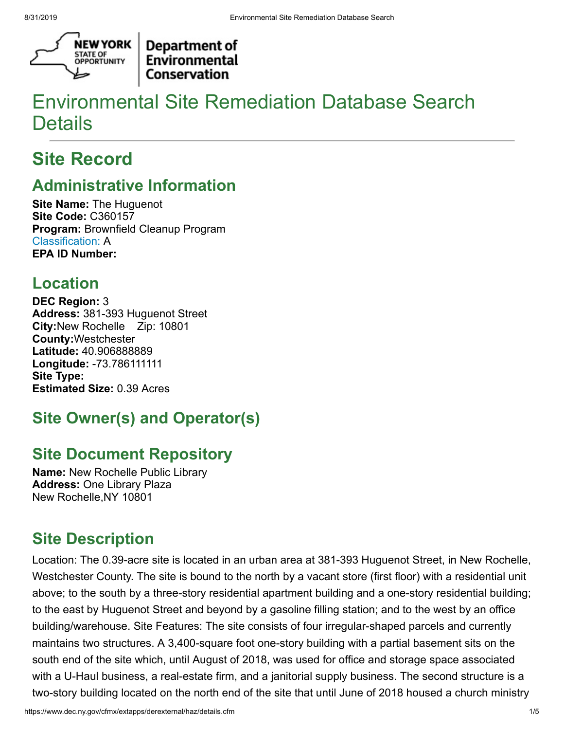

**Department of** Environmental **Conservation** 

# Environmental Site Remediation Database Search **Details**

# **Site Record**

## **Administrative Information**

**Site Name:** The Huguenot **Site Code:** C360157 **Program:** Brownfield Cleanup Program [Classification:](http://www.dec.ny.gov/chemical/8663.html) A **EPA ID Number:**

## **Location**

**DEC Region:** 3 **Address:** 381-393 Huguenot Street **City:**New Rochelle Zip: 10801 **County:**Westchester **Latitude:** 40.906888889 **Longitude:** -73.786111111 **Site Type: Estimated Size:** 0.39 Acres

# **Site Owner(s) and Operator(s)**

## **Site Document Repository**

**Name:** New Rochelle Public Library **Address:** One Library Plaza New Rochelle,NY 10801

### **Site Description**

Location: The 0.39-acre site is located in an urban area at 381-393 Huguenot Street, in New Rochelle, Westchester County. The site is bound to the north by a vacant store (first floor) with a residential unit above; to the south by a three-story residential apartment building and a one-story residential building; to the east by Huguenot Street and beyond by a gasoline filling station; and to the west by an office building/warehouse. Site Features: The site consists of four irregular-shaped parcels and currently maintains two structures. A 3,400-square foot one-story building with a partial basement sits on the south end of the site which, until August of 2018, was used for office and storage space associated with a U-Haul business, a real-estate firm, and a janitorial supply business. The second structure is a two-story building located on the north end of the site that until June of 2018 housed a church ministry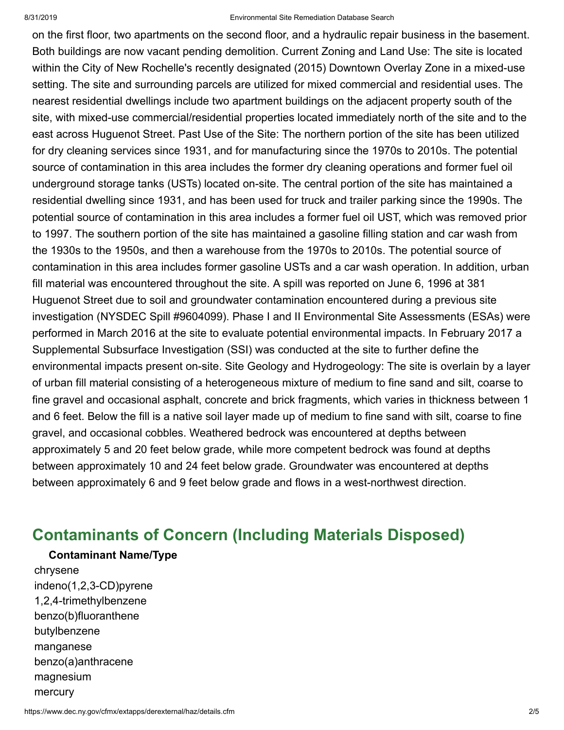#### 8/31/2019 Environmental Site Remediation Database Search

on the first floor, two apartments on the second floor, and a hydraulic repair business in the basement. Both buildings are now vacant pending demolition. Current Zoning and Land Use: The site is located within the City of New Rochelle's recently designated (2015) Downtown Overlay Zone in a mixed-use setting. The site and surrounding parcels are utilized for mixed commercial and residential uses. The nearest residential dwellings include two apartment buildings on the adjacent property south of the site, with mixed-use commercial/residential properties located immediately north of the site and to the east across Huguenot Street. Past Use of the Site: The northern portion of the site has been utilized for dry cleaning services since 1931, and for manufacturing since the 1970s to 2010s. The potential source of contamination in this area includes the former dry cleaning operations and former fuel oil underground storage tanks (USTs) located on-site. The central portion of the site has maintained a residential dwelling since 1931, and has been used for truck and trailer parking since the 1990s. The potential source of contamination in this area includes a former fuel oil UST, which was removed prior to 1997. The southern portion of the site has maintained a gasoline filling station and car wash from the 1930s to the 1950s, and then a warehouse from the 1970s to 2010s. The potential source of contamination in this area includes former gasoline USTs and a car wash operation. In addition, urban fill material was encountered throughout the site. A spill was reported on June 6, 1996 at 381 Huguenot Street due to soil and groundwater contamination encountered during a previous site investigation (NYSDEC Spill #9604099). Phase I and II Environmental Site Assessments (ESAs) were performed in March 2016 at the site to evaluate potential environmental impacts. In February 2017 a Supplemental Subsurface Investigation (SSI) was conducted at the site to further define the environmental impacts present on-site. Site Geology and Hydrogeology: The site is overlain by a layer of urban fill material consisting of a heterogeneous mixture of medium to fine sand and silt, coarse to fine gravel and occasional asphalt, concrete and brick fragments, which varies in thickness between 1 and 6 feet. Below the fill is a native soil layer made up of medium to fine sand with silt, coarse to fine gravel, and occasional cobbles. Weathered bedrock was encountered at depths between approximately 5 and 20 feet below grade, while more competent bedrock was found at depths between approximately 10 and 24 feet below grade. Groundwater was encountered at depths between approximately 6 and 9 feet below grade and flows in a west-northwest direction.

### **Contaminants of Concern (Including Materials Disposed)**

#### **Contaminant Name/Type**

chrysene indeno(1,2,3-CD)pyrene 1,2,4-trimethylbenzene benzo(b)fluoranthene butylbenzene manganese benzo(a)anthracene magnesium mercury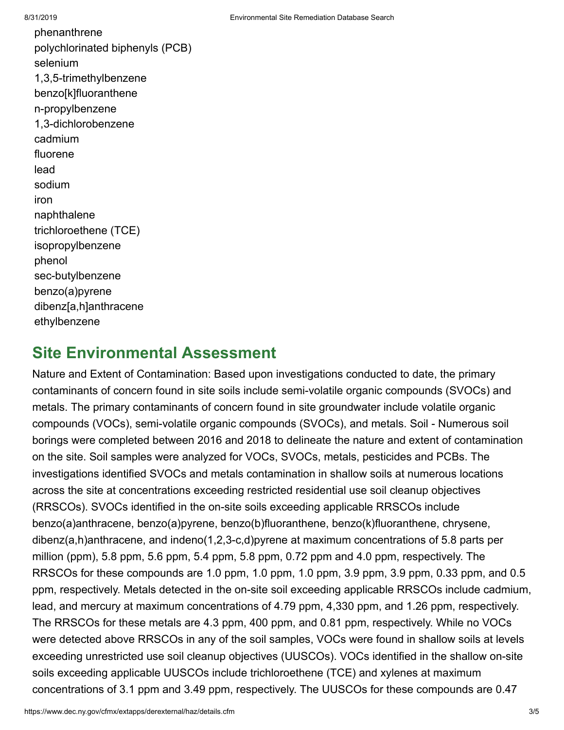phenanthrene polychlorinated biphenyls (PCB) selenium 1,3,5-trimethylbenzene benzo[k]fluoranthene n-propylbenzene 1,3-dichlorobenzene cadmium fluorene lead sodium iron naphthalene trichloroethene (TCE) isopropylbenzene phenol sec-butylbenzene benzo(a)pyrene dibenz[a,h]anthracene ethylbenzene

### **Site Environmental Assessment**

Nature and Extent of Contamination: Based upon investigations conducted to date, the primary contaminants of concern found in site soils include semi-volatile organic compounds (SVOCs) and metals. The primary contaminants of concern found in site groundwater include volatile organic compounds (VOCs), semi-volatile organic compounds (SVOCs), and metals. Soil - Numerous soil borings were completed between 2016 and 2018 to delineate the nature and extent of contamination on the site. Soil samples were analyzed for VOCs, SVOCs, metals, pesticides and PCBs. The investigations identified SVOCs and metals contamination in shallow soils at numerous locations across the site at concentrations exceeding restricted residential use soil cleanup objectives (RRSCOs). SVOCs identified in the on-site soils exceeding applicable RRSCOs include benzo(a)anthracene, benzo(a)pyrene, benzo(b)fluoranthene, benzo(k)fluoranthene, chrysene, dibenz(a,h)anthracene, and indeno(1,2,3-c,d)pyrene at maximum concentrations of 5.8 parts per million (ppm), 5.8 ppm, 5.6 ppm, 5.4 ppm, 5.8 ppm, 0.72 ppm and 4.0 ppm, respectively. The RRSCOs for these compounds are 1.0 ppm, 1.0 ppm, 1.0 ppm, 3.9 ppm, 3.9 ppm, 0.33 ppm, and 0.5 ppm, respectively. Metals detected in the on-site soil exceeding applicable RRSCOs include cadmium, lead, and mercury at maximum concentrations of 4.79 ppm, 4,330 ppm, and 1.26 ppm, respectively. The RRSCOs for these metals are 4.3 ppm, 400 ppm, and 0.81 ppm, respectively. While no VOCs were detected above RRSCOs in any of the soil samples, VOCs were found in shallow soils at levels exceeding unrestricted use soil cleanup objectives (UUSCOs). VOCs identified in the shallow on-site soils exceeding applicable UUSCOs include trichloroethene (TCE) and xylenes at maximum concentrations of 3.1 ppm and 3.49 ppm, respectively. The UUSCOs for these compounds are 0.47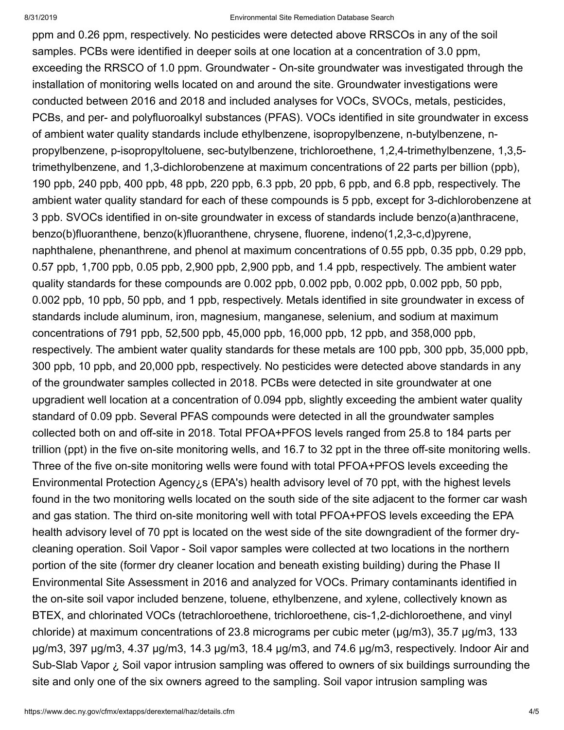#### 8/31/2019 Environmental Site Remediation Database Search

ppm and 0.26 ppm, respectively. No pesticides were detected above RRSCOs in any of the soil samples. PCBs were identified in deeper soils at one location at a concentration of 3.0 ppm, exceeding the RRSCO of 1.0 ppm. Groundwater - On-site groundwater was investigated through the installation of monitoring wells located on and around the site. Groundwater investigations were conducted between 2016 and 2018 and included analyses for VOCs, SVOCs, metals, pesticides, PCBs, and per- and polyfluoroalkyl substances (PFAS). VOCs identified in site groundwater in excess of ambient water quality standards include ethylbenzene, isopropylbenzene, n-butylbenzene, npropylbenzene, p-isopropyltoluene, sec-butylbenzene, trichloroethene, 1,2,4-trimethylbenzene, 1,3,5 trimethylbenzene, and 1,3-dichlorobenzene at maximum concentrations of 22 parts per billion (ppb), 190 ppb, 240 ppb, 400 ppb, 48 ppb, 220 ppb, 6.3 ppb, 20 ppb, 6 ppb, and 6.8 ppb, respectively. The ambient water quality standard for each of these compounds is 5 ppb, except for 3-dichlorobenzene at 3 ppb. SVOCs identified in on-site groundwater in excess of standards include benzo(a)anthracene, benzo(b)fluoranthene, benzo(k)fluoranthene, chrysene, fluorene, indeno(1,2,3-c,d)pyrene, naphthalene, phenanthrene, and phenol at maximum concentrations of 0.55 ppb, 0.35 ppb, 0.29 ppb, 0.57 ppb, 1,700 ppb, 0.05 ppb, 2,900 ppb, 2,900 ppb, and 1.4 ppb, respectively. The ambient water quality standards for these compounds are 0.002 ppb, 0.002 ppb, 0.002 ppb, 0.002 ppb, 50 ppb, 0.002 ppb, 10 ppb, 50 ppb, and 1 ppb, respectively. Metals identified in site groundwater in excess of standards include aluminum, iron, magnesium, manganese, selenium, and sodium at maximum concentrations of 791 ppb, 52,500 ppb, 45,000 ppb, 16,000 ppb, 12 ppb, and 358,000 ppb, respectively. The ambient water quality standards for these metals are 100 ppb, 300 ppb, 35,000 ppb, 300 ppb, 10 ppb, and 20,000 ppb, respectively. No pesticides were detected above standards in any of the groundwater samples collected in 2018. PCBs were detected in site groundwater at one upgradient well location at a concentration of 0.094 ppb, slightly exceeding the ambient water quality standard of 0.09 ppb. Several PFAS compounds were detected in all the groundwater samples collected both on and off-site in 2018. Total PFOA+PFOS levels ranged from 25.8 to 184 parts per trillion (ppt) in the five on-site monitoring wells, and 16.7 to 32 ppt in the three off-site monitoring wells. Three of the five on-site monitoring wells were found with total PFOA+PFOS levels exceeding the Environmental Protection Agency¿s (EPA's) health advisory level of 70 ppt, with the highest levels found in the two monitoring wells located on the south side of the site adjacent to the former car wash and gas station. The third on-site monitoring well with total PFOA+PFOS levels exceeding the EPA health advisory level of 70 ppt is located on the west side of the site downgradient of the former drycleaning operation. Soil Vapor - Soil vapor samples were collected at two locations in the northern portion of the site (former dry cleaner location and beneath existing building) during the Phase II Environmental Site Assessment in 2016 and analyzed for VOCs. Primary contaminants identified in the on-site soil vapor included benzene, toluene, ethylbenzene, and xylene, collectively known as BTEX, and chlorinated VOCs (tetrachloroethene, trichloroethene, cis-1,2-dichloroethene, and vinyl chloride) at maximum concentrations of 23.8 micrograms per cubic meter (µg/m3), 35.7 µg/m3, 133 µg/m3, 397 µg/m3, 4.37 µg/m3, 14.3 µg/m3, 18.4 µg/m3, and 74.6 µg/m3, respectively. Indoor Air and Sub-Slab Vapor ¿ Soil vapor intrusion sampling was offered to owners of six buildings surrounding the site and only one of the six owners agreed to the sampling. Soil vapor intrusion sampling was